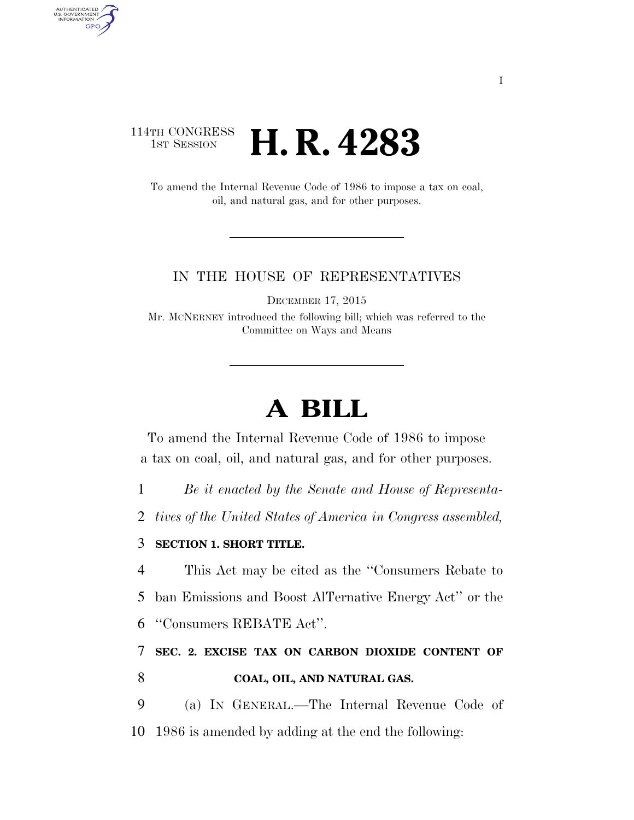# 114TH CONGRESS **1ST SESSION <b>H. R. 4283**

AUTHENTICATED<br>U.S. GOVERNMENT<br>INFORMATION **GPO** 

> To amend the Internal Revenue Code of 1986 to impose a tax on coal, oil, and natural gas, and for other purposes.

### IN THE HOUSE OF REPRESENTATIVES

DECEMBER 17, 2015

Mr. MCNERNEY introduced the following bill; which was referred to the Committee on Ways and Means

# **A BILL**

To amend the Internal Revenue Code of 1986 to impose a tax on coal, oil, and natural gas, and for other purposes.

1 *Be it enacted by the Senate and House of Representa-*

2 *tives of the United States of America in Congress assembled,* 

### 3 **SECTION 1. SHORT TITLE.**

4 This Act may be cited as the ''Consumers Rebate to 5 ban Emissions and Boost AlTernative Energy Act'' or the

6 ''Consumers REBATE Act''.

7 **SEC. 2. EXCISE TAX ON CARBON DIOXIDE CONTENT OF**  8 **COAL, OIL, AND NATURAL GAS.** 

9 (a) IN GENERAL.—The Internal Revenue Code of 10 1986 is amended by adding at the end the following: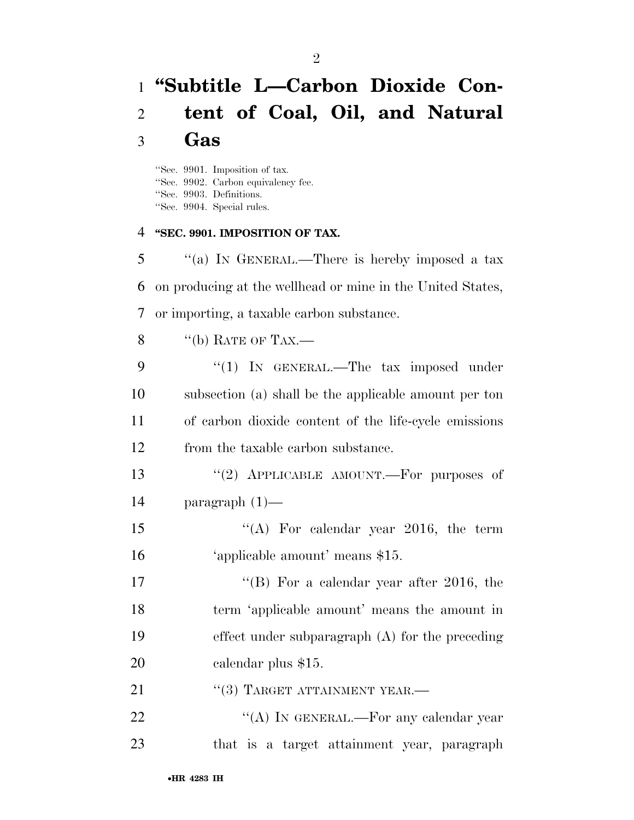# **''Subtitle L—Carbon Dioxide Con- tent of Coal, Oil, and Natural Gas**

''Sec. 9901. Imposition of tax. ''Sec. 9902. Carbon equivalency fee. ''Sec. 9903. Definitions. ''Sec. 9904. Special rules.

#### **''SEC. 9901. IMPOSITION OF TAX.**

 ''(a) IN GENERAL.—There is hereby imposed a tax on producing at the wellhead or mine in the United States, or importing, a taxable carbon substance.

8  $"$  (b) RATE OF TAX.—

|    | "(1) IN GENERAL.—The tax imposed under                |
|----|-------------------------------------------------------|
| 10 | subsection (a) shall be the applicable amount per ton |
| 11 | of carbon dioxide content of the life-cycle emissions |
| 12 | from the taxable carbon substance.                    |

13 "(2) APPLICABLE AMOUNT.—For purposes of paragraph (1)—

15 "(A) For calendar year 2016, the term 'applicable amount' means \$15.

17 ''(B) For a calendar year after 2016, the term 'applicable amount' means the amount in effect under subparagraph (A) for the preceding calendar plus \$15.

21 "(3) TARGET ATTAINMENT YEAR.—

22 "'(A) In GENERAL.—For any calendar year that is a target attainment year, paragraph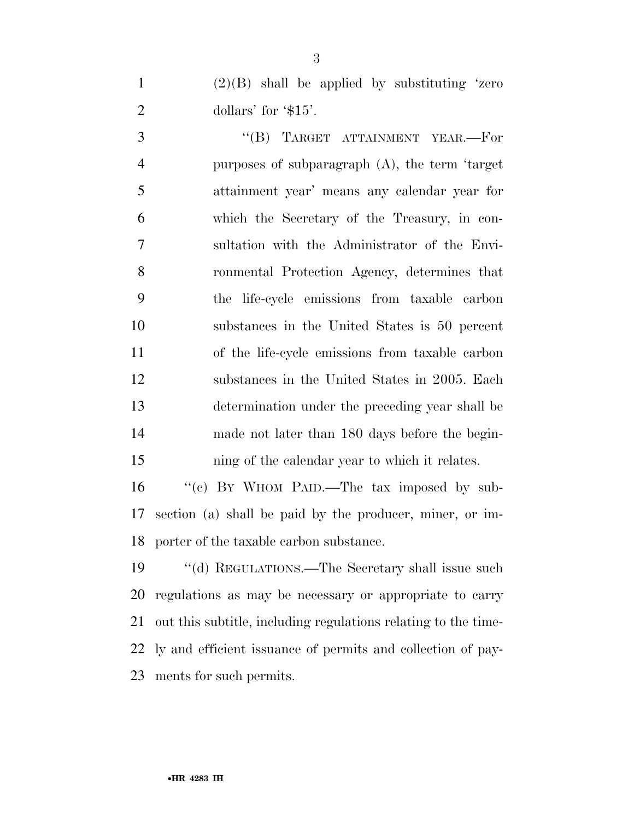1  $(2)(B)$  shall be applied by substituting 'zero 2 dollars' for '\$15'.

3 "(B) TARGET ATTAINMENT YEAR.—For purposes of subparagraph (A), the term 'target attainment year' means any calendar year for which the Secretary of the Treasury, in con- sultation with the Administrator of the Envi- ronmental Protection Agency, determines that the life-cycle emissions from taxable carbon substances in the United States is 50 percent of the life-cycle emissions from taxable carbon substances in the United States in 2005. Each determination under the preceding year shall be made not later than 180 days before the begin-ning of the calendar year to which it relates.

16 "(c) BY WHOM PAID.—The tax imposed by sub- section (a) shall be paid by the producer, miner, or im-porter of the taxable carbon substance.

19 "(d) REGULATIONS.—The Secretary shall issue such regulations as may be necessary or appropriate to carry out this subtitle, including regulations relating to the time- ly and efficient issuance of permits and collection of pay-ments for such permits.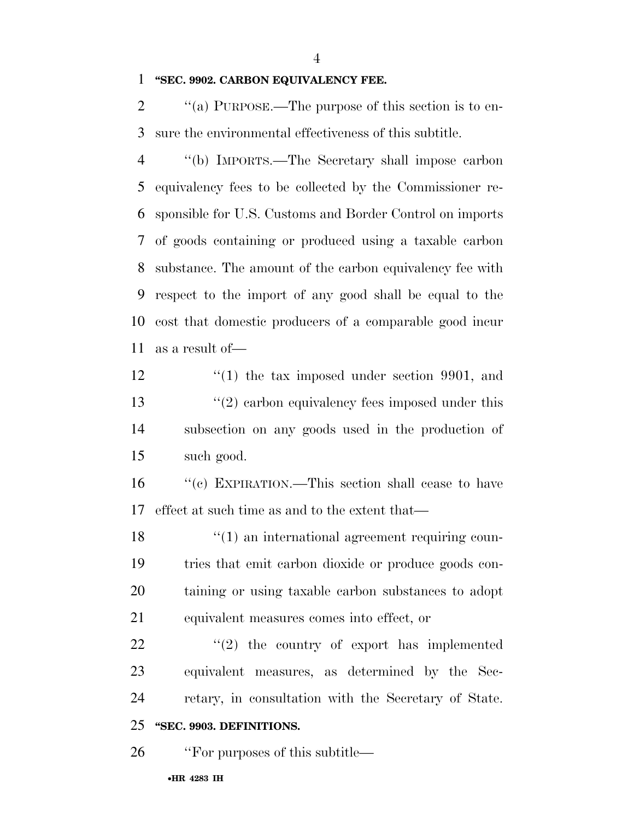**''SEC. 9902. CARBON EQUIVALENCY FEE.** 

2  $\cdot$  "(a) PURPOSE.—The purpose of this section is to en-sure the environmental effectiveness of this subtitle.

 ''(b) IMPORTS.—The Secretary shall impose carbon equivalency fees to be collected by the Commissioner re- sponsible for U.S. Customs and Border Control on imports of goods containing or produced using a taxable carbon substance. The amount of the carbon equivalency fee with respect to the import of any good shall be equal to the cost that domestic producers of a comparable good incur as a result of—

12 ''(1) the tax imposed under section 9901, and 13 ''(2) carbon equivalency fees imposed under this subsection on any goods used in the production of such good.

 ''(c) EXPIRATION.—This section shall cease to have effect at such time as and to the extent that—

18 ''(1) an international agreement requiring coun- tries that emit carbon dioxide or produce goods con- taining or using taxable carbon substances to adopt equivalent measures comes into effect, or

  $\qquad$   $\qquad$   $(2)$  the country of export has implemented equivalent measures, as determined by the Sec-retary, in consultation with the Secretary of State.

### **''SEC. 9903. DEFINITIONS.**

26 "For purposes of this subtitle—

#### •**HR 4283 IH**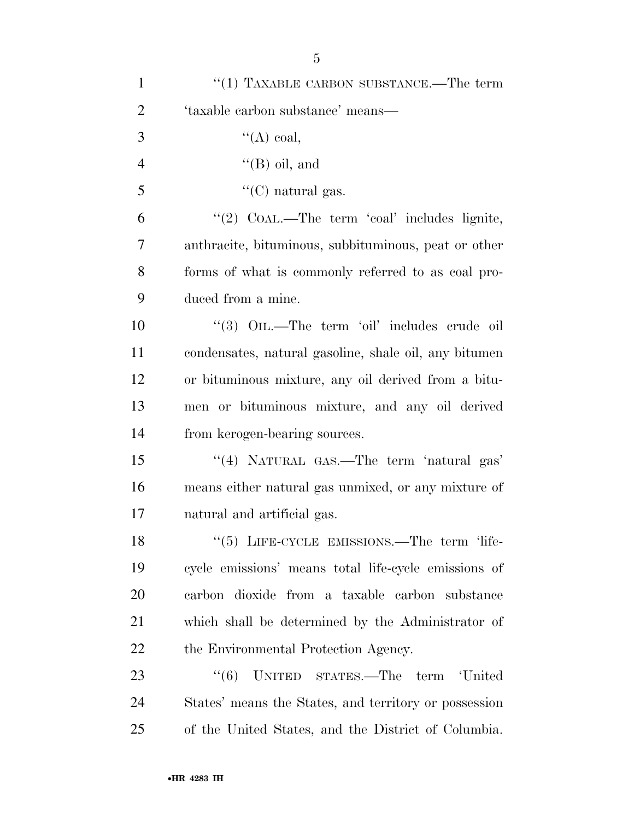| $\mathbf{1}$   | $(1)$ TAXABLE CARBON SUBSTANCE.—The term                           |
|----------------|--------------------------------------------------------------------|
| $\overline{2}$ | 'taxable carbon substance' means-                                  |
| 3              | $\lq\lq (A)$ coal,                                                 |
| $\overline{4}$ | $\lq (B)$ oil, and                                                 |
| 5              | "(C) natural gas.                                                  |
| 6              | "(2) $COAL$ .—The term 'coal' includes lignite,                    |
| 7              | anthracite, bituminous, subbituminous, peat or other               |
| 8              | forms of what is commonly referred to as coal pro-                 |
| 9              | duced from a mine.                                                 |
| 10             | "(3) OIL.—The term 'oil' includes crude oil                        |
| 11             | condensates, natural gasoline, shale oil, any bitumen              |
| 12             | or bituminous mixture, any oil derived from a bitu-                |
| 13             | men or bituminous mixture, and any oil derived                     |
| 14             | from kerogen-bearing sources.                                      |
| 15             | "(4) NATURAL GAS.—The term 'natural gas'                           |
| 16             | means either natural gas unmixed, or any mixture of                |
| 17             | natural and artificial gas.                                        |
| 18             | $\cdot\cdot$ (5) LIFE-CYCLE EMISSIONS.—The term $\cdot\cdot$ life- |
| 19             | cycle emissions' means total life-cycle emissions of               |
| 20             | carbon dioxide from a taxable carbon substance                     |
| 21             | which shall be determined by the Administrator of                  |
| 22             | the Environmental Protection Agency.                               |
| 23             | ``(6)<br>UNITED STATES.—The term 'United                           |
| 24             | States' means the States, and territory or possession              |
| 25             | of the United States, and the District of Columbia.                |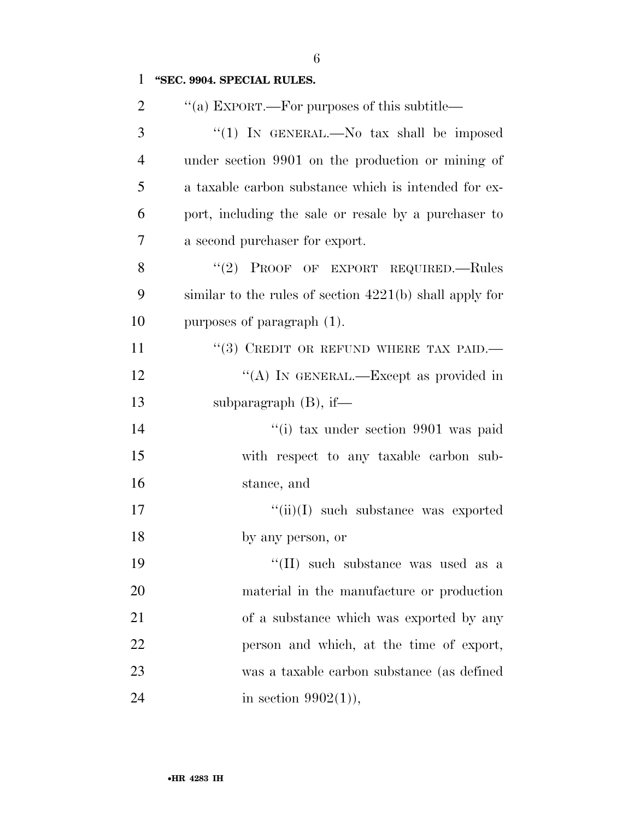## **''SEC. 9904. SPECIAL RULES.**

| $\overline{2}$ | "(a) EXPORT.—For purposes of this subtitle—               |
|----------------|-----------------------------------------------------------|
| 3              | "(1) IN GENERAL.—No tax shall be imposed                  |
| $\overline{4}$ | under section 9901 on the production or mining of         |
| 5              | a taxable carbon substance which is intended for ex-      |
| 6              | port, including the sale or resale by a purchaser to      |
| 7              | a second purchaser for export.                            |
| 8              | "(2) PROOF OF EXPORT REQUIRED.—Rules                      |
| 9              | similar to the rules of section $4221(b)$ shall apply for |
| 10             | purposes of paragraph (1).                                |
| 11             | "(3) CREDIT OR REFUND WHERE TAX PAID.                     |
| 12             | "(A) IN GENERAL.—Except as provided in                    |
| 13             | subparagraph $(B)$ , if—                                  |
| 14             | "(i) tax under section 9901 was paid                      |
| 15             | with respect to any taxable carbon sub-                   |
| 16             | stance, and                                               |
| 17             | $``(ii)(I)$ such substance was exported                   |
| 18             | by any person, or                                         |
| 19             | "(II) such substance was used as a                        |
| 20             | material in the manufacture or production                 |
| 21             | of a substance which was exported by any                  |
| 22             | person and which, at the time of export,                  |
| 23             | was a taxable carbon substance (as defined                |
| 24             | in section $9902(1)$ ),                                   |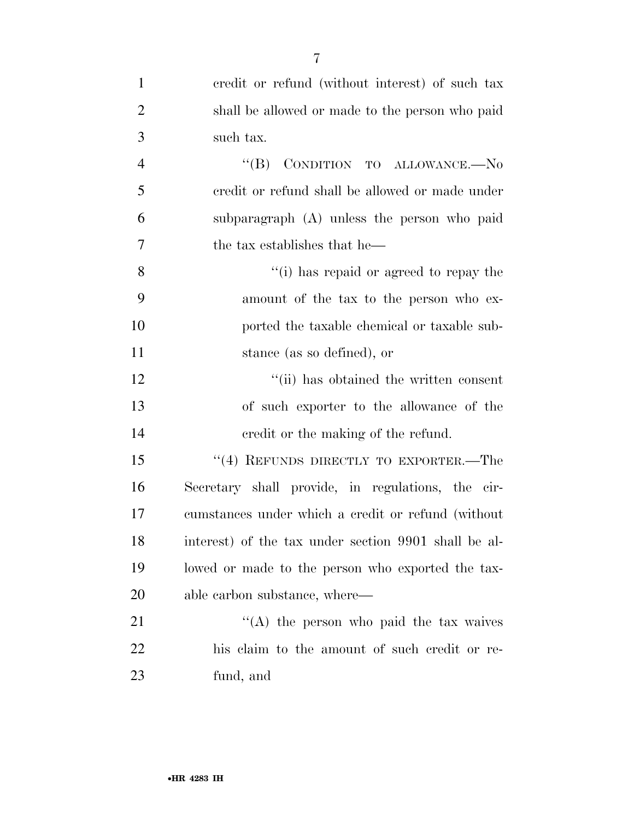| $\mathbf{1}$   | credit or refund (without interest) of such tax      |
|----------------|------------------------------------------------------|
| $\overline{2}$ | shall be allowed or made to the person who paid      |
| 3              | such tax.                                            |
| $\overline{4}$ | "(B) CONDITION TO ALLOWANCE.-No                      |
| 5              | credit or refund shall be allowed or made under      |
| 6              | subparagraph (A) unless the person who paid          |
| 7              | the tax establishes that he—                         |
| 8              | "(i) has repaid or agreed to repay the               |
| 9              | amount of the tax to the person who ex-              |
| 10             | ported the taxable chemical or taxable sub-          |
| 11             | stance (as so defined), or                           |
| 12             | "(ii) has obtained the written consent               |
| 13             | of such exporter to the allowance of the             |
| 14             | eredit or the making of the refund.                  |
| 15             | "(4) REFUNDS DIRECTLY TO EXPORTER.—The               |
| 16             | Secretary shall provide, in regulations, the cir-    |
| 17             | cumstances under which a credit or refund (without   |
| 18             | interest) of the tax under section 9901 shall be al- |
| 19             | lowed or made to the person who exported the tax-    |
| 20             | able carbon substance, where—                        |
| 21             | $\lq\lq$ the person who paid the tax waives          |
| 22             | his claim to the amount of such credit or re-        |
| 23             | fund, and                                            |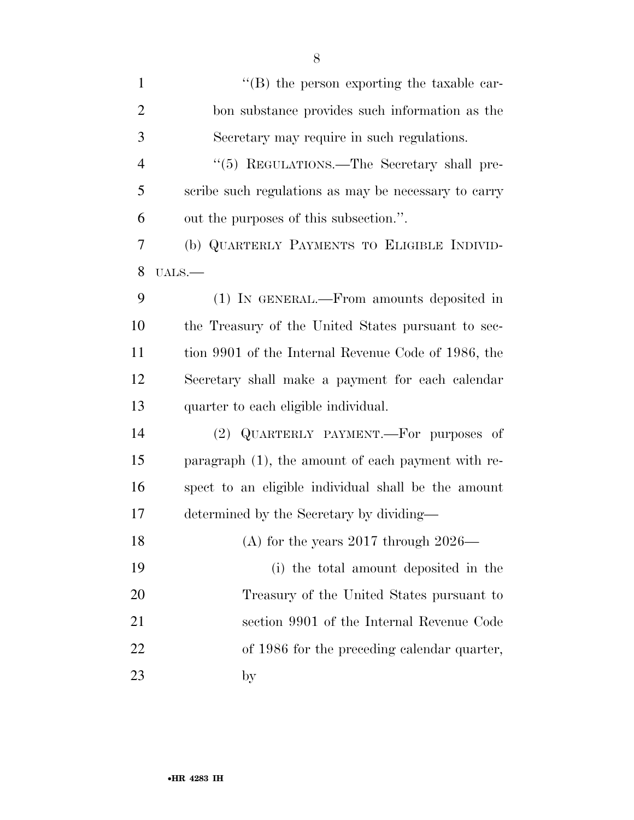| $\mathbf{1}$   | $\lq\lq (B)$ the person exporting the taxable car-   |
|----------------|------------------------------------------------------|
| $\overline{2}$ | bon substance provides such information as the       |
| 3              | Secretary may require in such regulations.           |
| $\overline{4}$ | "(5) REGULATIONS.—The Secretary shall pre-           |
| 5              | scribe such regulations as may be necessary to carry |
| 6              | out the purposes of this subsection.".               |
| 7              | (b) QUARTERLY PAYMENTS TO ELIGIBLE INDIVID-          |
| 8              | $UALS.$ —                                            |
| 9              | (1) IN GENERAL.—From amounts deposited in            |
| 10             | the Treasury of the United States pursuant to sec-   |
| 11             | tion 9901 of the Internal Revenue Code of 1986, the  |
| 12             | Secretary shall make a payment for each calendar     |
| 13             | quarter to each eligible individual.                 |
| 14             | (2) QUARTERLY PAYMENT.—For purposes of               |
| 15             | paragraph (1), the amount of each payment with re-   |
| 16             | spect to an eligible individual shall be the amount  |
| 17             | determined by the Secretary by dividing—             |
| 18             | (A) for the years $2017$ through $2026$ —            |
| 19             | (i) the total amount deposited in the                |
| 20             | Treasury of the United States pursuant to            |
| 21             | section 9901 of the Internal Revenue Code            |
| 22             | of 1986 for the preceding calendar quarter,          |
| 23             | by                                                   |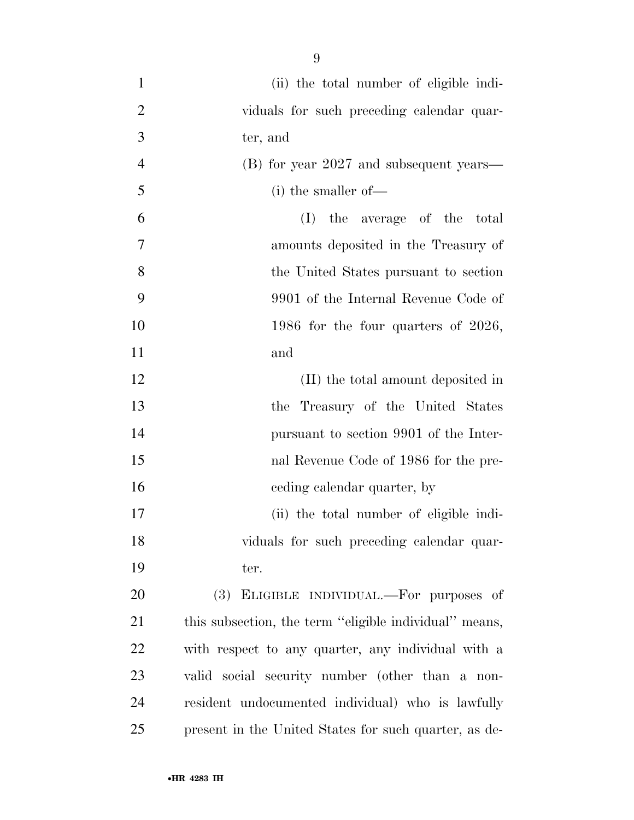(ii) the total number of eligible indi-2 viduals for such preceding calendar quar- ter, and (B) for year 2027 and subsequent years— (i) the smaller of— (I) the average of the total amounts deposited in the Treasury of the United States pursuant to section 9901 of the Internal Revenue Code of 10 1986 for the four quarters of 2026, and 12 (II) the total amount deposited in the Treasury of the United States pursuant to section 9901 of the Inter- nal Revenue Code of 1986 for the pre-16 ceding calendar quarter, by (ii) the total number of eligible indi- viduals for such preceding calendar quar- ter. (3) ELIGIBLE INDIVIDUAL.—For purposes of this subsection, the term ''eligible individual'' means, with respect to any quarter, any individual with a valid social security number (other than a non-resident undocumented individual) who is lawfully

present in the United States for such quarter, as de-